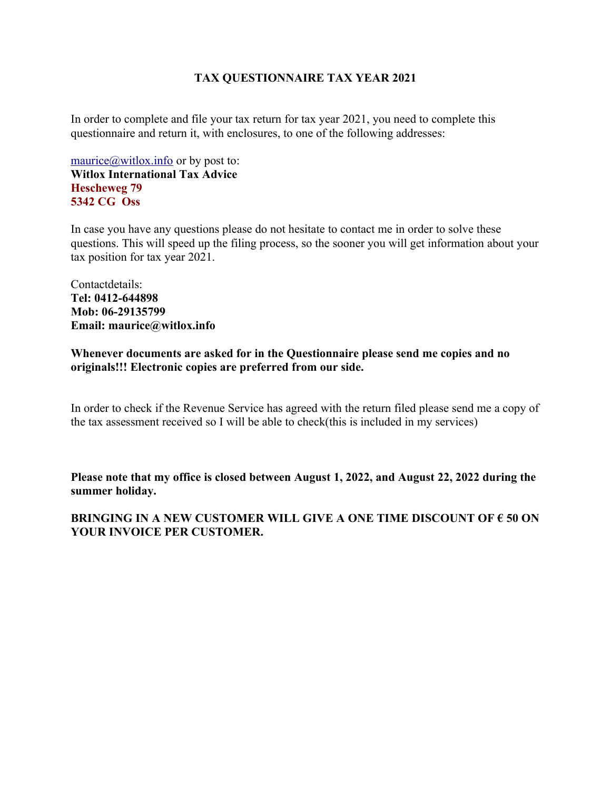## **TAX QUESTIONNAIRE TAX YEAR 2021**

In order to complete and file your tax return for tax year 2021, you need to complete this questionnaire and return it, with enclosures, to one of the following addresses:

maurice $\omega$ witlox.info or by post to: **Witlox International Tax Advice Hescheweg 79 5342 CG Oss**

In case you have any questions please do not hesitate to contact me in order to solve these questions. This will speed up the filing process, so the sooner you will get information about your tax position for tax year 2021.

Contactdetails: **Tel: 0412-644898 Mob: 06-29135799 Email: maurice@witlox.info**

**Whenever documents are asked for in the Questionnaire please send me copies and no originals!!! Electronic copies are preferred from our side.**

In order to check if the Revenue Service has agreed with the return filed please send me a copy of the tax assessment received so I will be able to check(this is included in my services)

**Please note that my office is closed between August 1, 2022, and August 22, 2022 during the summer holiday.**

## **BRINGING IN A NEW CUSTOMER WILL GIVE A ONE TIME DISCOUNT OF € 50 ON YOUR INVOICE PER CUSTOMER.**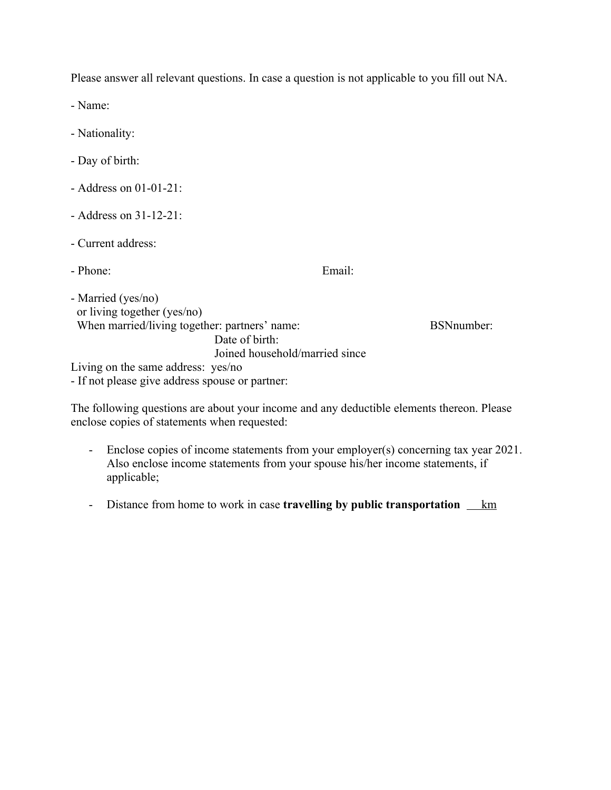Please answer all relevant questions. In case a question is not applicable to you fill out NA.

- Name:

- Nationality:
- Day of birth:
- Address on 01-01-21:
- Address on 31-12-21:
- Current address:

- Phone: Email:

- Married (yes/no) or living together (yes/no) When married/living together: partners' name: BSNnumber: Date of birth: Joined household/married since

Living on the same address: yes/no

- If not please give address spouse or partner:

The following questions are about your income and any deductible elements thereon. Please enclose copies of statements when requested:

- Enclose copies of income statements from your employer(s) concerning tax year 2021. Also enclose income statements from your spouse his/her income statements, if applicable;
- Distance from home to work in case **travelling by public transportation** <u>km</u>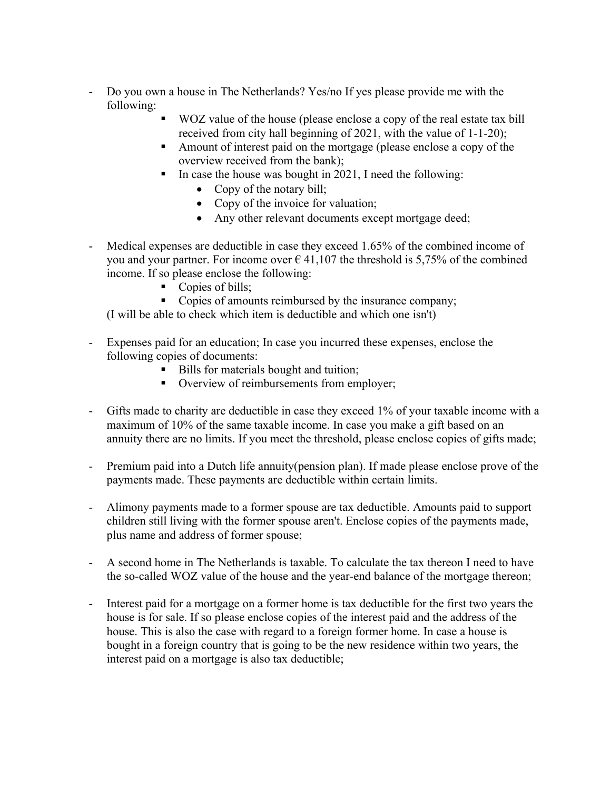- Do you own a house in The Netherlands? Yes/no If yes please provide me with the following:
	- WOZ value of the house (please enclose a copy of the real estate tax bill received from city hall beginning of 2021, with the value of 1-1-20);
	- Amount of interest paid on the mortgage (please enclose a copy of the overview received from the bank);
	- In case the house was bought in 2021, I need the following:
		- Copy of the notary bill;
		- Copy of the invoice for valuation;
		- Any other relevant documents except mortgage deed;
- Medical expenses are deductible in case they exceed 1.65% of the combined income of you and your partner. For income over  $\epsilon$  41,107 the threshold is 5,75% of the combined income. If so please enclose the following:
	- Copies of bills;
	- Copies of amounts reimbursed by the insurance company;

(I will be able to check which item is deductible and which one isn't)

- Expenses paid for an education; In case you incurred these expenses, enclose the following copies of documents:
	- Bills for materials bought and tuition;
	- Overview of reimbursements from employer;
- Gifts made to charity are deductible in case they exceed 1% of your taxable income with a maximum of 10% of the same taxable income. In case you make a gift based on an annuity there are no limits. If you meet the threshold, please enclose copies of gifts made;
- Premium paid into a Dutch life annuity(pension plan). If made please enclose prove of the payments made. These payments are deductible within certain limits.
- Alimony payments made to a former spouse are tax deductible. Amounts paid to support children still living with the former spouse aren't. Enclose copies of the payments made, plus name and address of former spouse;
- A second home in The Netherlands is taxable. To calculate the tax thereon I need to have the so-called WOZ value of the house and the year-end balance of the mortgage thereon;
- Interest paid for a mortgage on a former home is tax deductible for the first two years the house is for sale. If so please enclose copies of the interest paid and the address of the house. This is also the case with regard to a foreign former home. In case a house is bought in a foreign country that is going to be the new residence within two years, the interest paid on a mortgage is also tax deductible;